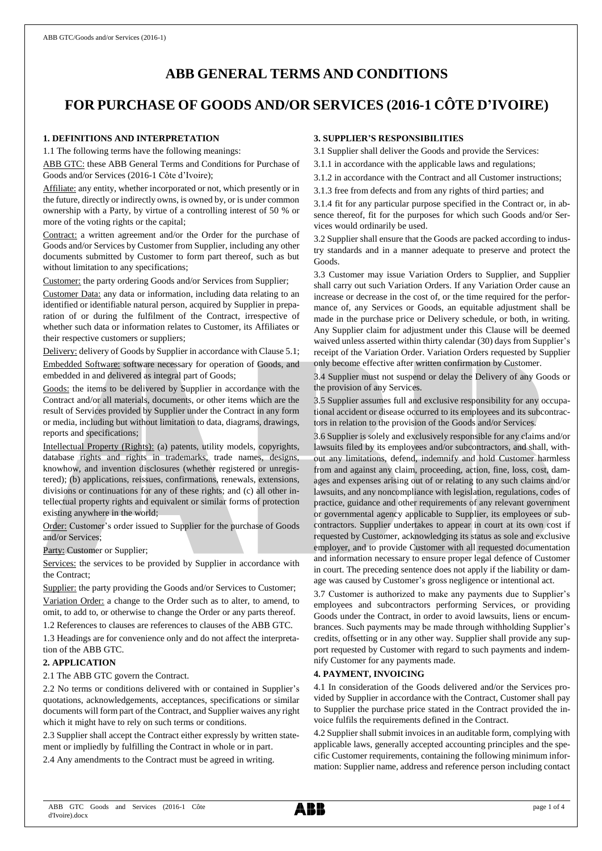# **ABB GENERAL TERMS AND CONDITIONS**

# **FOR PURCHASE OF GOODS AND/OR SERVICES (2016-1 CÔTE D'IVOIRE)**

## **1. DEFINITIONS AND INTERPRETATION**

1.1 The following terms have the following meanings:

ABB GTC: these ABB General Terms and Conditions for Purchase of Goods and/or Services (2016-1 Côte d'Ivoire);

Affiliate: any entity, whether incorporated or not, which presently or in the future, directly or indirectly owns, is owned by, or is under common ownership with a Party, by virtue of a controlling interest of 50 % or more of the voting rights or the capital;

Contract: a written agreement and/or the Order for the purchase of Goods and/or Services by Customer from Supplier, including any other documents submitted by Customer to form part thereof, such as but without limitation to any specifications;

Customer: the party ordering Goods and/or Services from Supplier;

Customer Data: any data or information, including data relating to an identified or identifiable natural person, acquired by Supplier in preparation of or during the fulfilment of the Contract, irrespective of whether such data or information relates to Customer, its Affiliates or their respective customers or suppliers;

Delivery: delivery of Goods by Supplier in accordance with Clause 5.1; Embedded Software: software necessary for operation of Goods, and embedded in and delivered as integral part of Goods;

Goods: the items to be delivered by Supplier in accordance with the Contract and/or all materials, documents, or other items which are the result of Services provided by Supplier under the Contract in any form or media, including but without limitation to data, diagrams, drawings, reports and specifications;

Intellectual Property (Rights): (a) patents, utility models, copyrights, database rights and rights in trademarks, trade names, designs, knowhow, and invention disclosures (whether registered or unregistered); (b) applications, reissues, confirmations, renewals, extensions, divisions or continuations for any of these rights; and (c) all other intellectual property rights and equivalent or similar forms of protection existing anywhere in the world;

Order: Customer's order issued to Supplier for the purchase of Goods and/or Services;

Party: Customer or Supplier;

Services: the services to be provided by Supplier in accordance with the Contract;

Supplier: the party providing the Goods and/or Services to Customer; Variation Order: a change to the Order such as to alter, to amend, to omit, to add to, or otherwise to change the Order or any parts thereof.

1.2 References to clauses are references to clauses of the ABB GTC.

1.3 Headings are for convenience only and do not affect the interpretation of the ABB GTC.

#### **2. APPLICATION**

2.1 The ABB GTC govern the Contract.

2.2 No terms or conditions delivered with or contained in Supplier's quotations, acknowledgements, acceptances, specifications or similar documents will form part of the Contract, and Supplier waives any right which it might have to rely on such terms or conditions.

2.3 Supplier shall accept the Contract either expressly by written statement or impliedly by fulfilling the Contract in whole or in part.

2.4 Any amendments to the Contract must be agreed in writing.

# **3. SUPPLIER'S RESPONSIBILITIES**

3.1 Supplier shall deliver the Goods and provide the Services:

3.1.1 in accordance with the applicable laws and regulations;

3.1.2 in accordance with the Contract and all Customer instructions;

3.1.3 free from defects and from any rights of third parties; and

3.1.4 fit for any particular purpose specified in the Contract or, in absence thereof, fit for the purposes for which such Goods and/or Services would ordinarily be used.

3.2 Supplier shall ensure that the Goods are packed according to industry standards and in a manner adequate to preserve and protect the Goods.

3.3 Customer may issue Variation Orders to Supplier, and Supplier shall carry out such Variation Orders. If any Variation Order cause an increase or decrease in the cost of, or the time required for the performance of, any Services or Goods, an equitable adjustment shall be made in the purchase price or Delivery schedule, or both, in writing. Any Supplier claim for adjustment under this Clause will be deemed waived unless asserted within thirty calendar (30) days from Supplier's receipt of the Variation Order. Variation Orders requested by Supplier only become effective after written confirmation by Customer.

3.4 Supplier must not suspend or delay the Delivery of any Goods or the provision of any Services.

3.5 Supplier assumes full and exclusive responsibility for any occupational accident or disease occurred to its employees and its subcontractors in relation to the provision of the Goods and/or Services.

3.6 Supplier is solely and exclusively responsible for any claims and/or lawsuits filed by its employees and/or subcontractors, and shall, without any limitations, defend, indemnify and hold Customer harmless from and against any claim, proceeding, action, fine, loss, cost, damages and expenses arising out of or relating to any such claims and/or lawsuits, and any noncompliance with legislation, regulations, codes of practice, guidance and other requirements of any relevant government or governmental agency applicable to Supplier, its employees or subcontractors. Supplier undertakes to appear in court at its own cost if requested by Customer, acknowledging its status as sole and exclusive employer, and to provide Customer with all requested documentation and information necessary to ensure proper legal defence of Customer in court. The preceding sentence does not apply if the liability or damage was caused by Customer's gross negligence or intentional act.

3.7 Customer is authorized to make any payments due to Supplier's employees and subcontractors performing Services, or providing Goods under the Contract, in order to avoid lawsuits, liens or encumbrances. Such payments may be made through withholding Supplier's credits, offsetting or in any other way. Supplier shall provide any support requested by Customer with regard to such payments and indemnify Customer for any payments made.

#### **4. PAYMENT, INVOICING**

4.1 In consideration of the Goods delivered and/or the Services provided by Supplier in accordance with the Contract, Customer shall pay to Supplier the purchase price stated in the Contract provided the invoice fulfils the requirements defined in the Contract.

4.2 Supplier shall submit invoices in an auditable form, complying with applicable laws, generally accepted accounting principles and the specific Customer requirements, containing the following minimum information: Supplier name, address and reference person including contact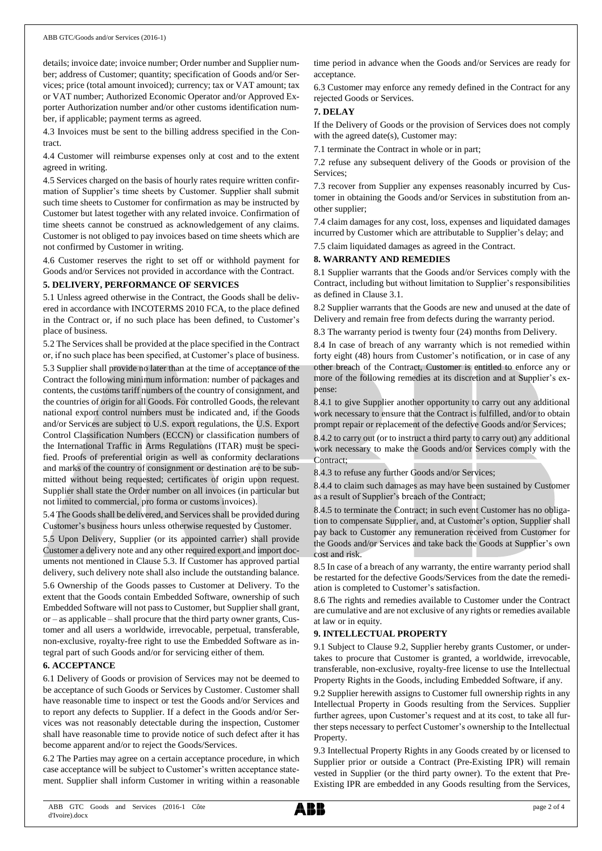details; invoice date; invoice number; Order number and Supplier number; address of Customer; quantity; specification of Goods and/or Services; price (total amount invoiced); currency; tax or VAT amount; tax or VAT number; Authorized Economic Operator and/or Approved Exporter Authorization number and/or other customs identification number, if applicable; payment terms as agreed.

4.3 Invoices must be sent to the billing address specified in the Contract.

4.4 Customer will reimburse expenses only at cost and to the extent agreed in writing.

4.5 Services charged on the basis of hourly rates require written confirmation of Supplier's time sheets by Customer. Supplier shall submit such time sheets to Customer for confirmation as may be instructed by Customer but latest together with any related invoice. Confirmation of time sheets cannot be construed as acknowledgement of any claims. Customer is not obliged to pay invoices based on time sheets which are not confirmed by Customer in writing.

4.6 Customer reserves the right to set off or withhold payment for Goods and/or Services not provided in accordance with the Contract.

#### **5. DELIVERY, PERFORMANCE OF SERVICES**

5.1 Unless agreed otherwise in the Contract, the Goods shall be delivered in accordance with INCOTERMS 2010 FCA, to the place defined in the Contract or, if no such place has been defined, to Customer's place of business.

5.2 The Services shall be provided at the place specified in the Contract or, if no such place has been specified, at Customer's place of business.

5.3 Supplier shall provide no later than at the time of acceptance of the Contract the following minimum information: number of packages and contents, the customs tariff numbers of the country of consignment, and the countries of origin for all Goods. For controlled Goods, the relevant national export control numbers must be indicated and, if the Goods and/or Services are subject to U.S. export regulations, the U.S. Export Control Classification Numbers (ECCN) or classification numbers of the International Traffic in Arms Regulations (ITAR) must be specified. Proofs of preferential origin as well as conformity declarations and marks of the country of consignment or destination are to be submitted without being requested; certificates of origin upon request. Supplier shall state the Order number on all invoices (in particular but not limited to commercial, pro forma or customs invoices).

5.4 The Goods shall be delivered, and Services shall be provided during Customer's business hours unless otherwise requested by Customer.

5.5 Upon Delivery, Supplier (or its appointed carrier) shall provide Customer a delivery note and any other required export and import documents not mentioned in Clause 5.3. If Customer has approved partial delivery, such delivery note shall also include the outstanding balance.

5.6 Ownership of the Goods passes to Customer at Delivery. To the extent that the Goods contain Embedded Software, ownership of such Embedded Software will not passto Customer, but Supplier shall grant, or – as applicable – shall procure that the third party owner grants, Customer and all users a worldwide, irrevocable, perpetual, transferable, non-exclusive, royalty-free right to use the Embedded Software as integral part of such Goods and/or for servicing either of them.

#### **6. ACCEPTANCE**

6.1 Delivery of Goods or provision of Services may not be deemed to be acceptance of such Goods or Services by Customer. Customer shall have reasonable time to inspect or test the Goods and/or Services and to report any defects to Supplier. If a defect in the Goods and/or Services was not reasonably detectable during the inspection, Customer shall have reasonable time to provide notice of such defect after it has become apparent and/or to reject the Goods/Services.

6.2 The Parties may agree on a certain acceptance procedure, in which case acceptance will be subject to Customer's written acceptance statement. Supplier shall inform Customer in writing within a reasonable time period in advance when the Goods and/or Services are ready for acceptance.

6.3 Customer may enforce any remedy defined in the Contract for any rejected Goods or Services.

## **7. DELAY**

If the Delivery of Goods or the provision of Services does not comply with the agreed date(s), Customer may:

7.1 terminate the Contract in whole or in part;

7.2 refuse any subsequent delivery of the Goods or provision of the Services;

7.3 recover from Supplier any expenses reasonably incurred by Customer in obtaining the Goods and/or Services in substitution from another supplier;

7.4 claim damages for any cost, loss, expenses and liquidated damages incurred by Customer which are attributable to Supplier's delay; and

7.5 claim liquidated damages as agreed in the Contract.

## **8. WARRANTY AND REMEDIES**

8.1 Supplier warrants that the Goods and/or Services comply with the Contract, including but without limitation to Supplier's responsibilities as defined in Clause 3.1.

8.2 Supplier warrants that the Goods are new and unused at the date of Delivery and remain free from defects during the warranty period.

8.3 The warranty period is twenty four (24) months from Delivery.

8.4 In case of breach of any warranty which is not remedied within forty eight (48) hours from Customer's notification, or in case of any other breach of the Contract, Customer is entitled to enforce any or more of the following remedies at its discretion and at Supplier's expense:

8.4.1 to give Supplier another opportunity to carry out any additional work necessary to ensure that the Contract is fulfilled, and/or to obtain prompt repair or replacement of the defective Goods and/or Services;

8.4.2 to carry out (or to instruct a third party to carry out) any additional work necessary to make the Goods and/or Services comply with the Contract;

8.4.3 to refuse any further Goods and/or Services;

8.4.4 to claim such damages as may have been sustained by Customer as a result of Supplier's breach of the Contract;

8.4.5 to terminate the Contract; in such event Customer has no obligation to compensate Supplier, and, at Customer's option, Supplier shall pay back to Customer any remuneration received from Customer for the Goods and/or Services and take back the Goods at Supplier's own cost and risk.

8.5 In case of a breach of any warranty, the entire warranty period shall be restarted for the defective Goods/Services from the date the remediation is completed to Customer's satisfaction.

8.6 The rights and remedies available to Customer under the Contract are cumulative and are not exclusive of any rights or remedies available at law or in equity.

#### **9. INTELLECTUAL PROPERTY**

9.1 Subject to Clause 9.2, Supplier hereby grants Customer, or undertakes to procure that Customer is granted, a worldwide, irrevocable, transferable, non-exclusive, royalty-free license to use the Intellectual Property Rights in the Goods, including Embedded Software, if any.

9.2 Supplier herewith assigns to Customer full ownership rights in any Intellectual Property in Goods resulting from the Services. Supplier further agrees, upon Customer's request and at its cost, to take all further steps necessary to perfect Customer's ownership to the Intellectual Property.

9.3 Intellectual Property Rights in any Goods created by or licensed to Supplier prior or outside a Contract (Pre-Existing IPR) will remain vested in Supplier (or the third party owner). To the extent that Pre-Existing IPR are embedded in any Goods resulting from the Services,

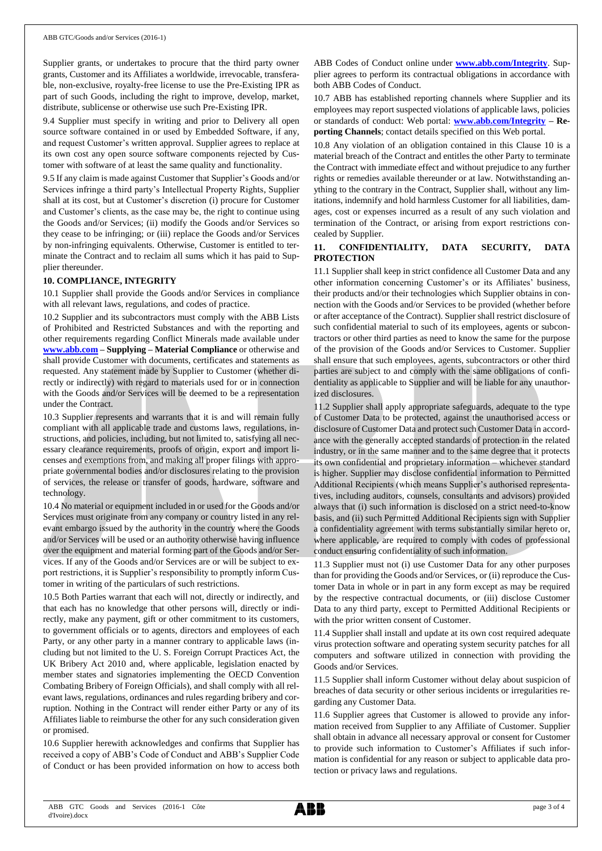Supplier grants, or undertakes to procure that the third party owner grants, Customer and its Affiliates a worldwide, irrevocable, transferable, non-exclusive, royalty-free license to use the Pre-Existing IPR as part of such Goods, including the right to improve, develop, market, distribute, sublicense or otherwise use such Pre-Existing IPR.

9.4 Supplier must specify in writing and prior to Delivery all open source software contained in or used by Embedded Software, if any, and request Customer's written approval. Supplier agrees to replace at its own cost any open source software components rejected by Customer with software of at least the same quality and functionality.

9.5 If any claim is made against Customer that Supplier's Goods and/or Services infringe a third party's Intellectual Property Rights, Supplier shall at its cost, but at Customer's discretion (i) procure for Customer and Customer's clients, as the case may be, the right to continue using the Goods and/or Services; (ii) modify the Goods and/or Services so they cease to be infringing; or (iii) replace the Goods and/or Services by non-infringing equivalents. Otherwise, Customer is entitled to terminate the Contract and to reclaim all sums which it has paid to Supplier thereunder.

#### **10. COMPLIANCE, INTEGRITY**

10.1 Supplier shall provide the Goods and/or Services in compliance with all relevant laws, regulations, and codes of practice.

10.2 Supplier and its subcontractors must comply with the ABB Lists of Prohibited and Restricted Substances and with the reporting and other requirements regarding Conflict Minerals made available under **[www.abb.com](http://www.abb.com/) – Supplying – Material Compliance** or otherwise and shall provide Customer with documents, certificates and statements as requested. Any statement made by Supplier to Customer (whether directly or indirectly) with regard to materials used for or in connection with the Goods and/or Services will be deemed to be a representation under the Contract.

10.3 Supplier represents and warrants that it is and will remain fully compliant with all applicable trade and customs laws, regulations, instructions, and policies, including, but not limited to, satisfying all necessary clearance requirements, proofs of origin, export and import licenses and exemptions from, and making all proper filings with appropriate governmental bodies and/or disclosures relating to the provision of services, the release or transfer of goods, hardware, software and technology.

10.4 No material or equipment included in or used for the Goods and/or Services must originate from any company or country listed in any relevant embargo issued by the authority in the country where the Goods and/or Services will be used or an authority otherwise having influence over the equipment and material forming part of the Goods and/or Services. If any of the Goods and/or Services are or will be subject to export restrictions, it is Supplier's responsibility to promptly inform Customer in writing of the particulars of such restrictions.

10.5 Both Parties warrant that each will not, directly or indirectly, and that each has no knowledge that other persons will, directly or indirectly, make any payment, gift or other commitment to its customers, to government officials or to agents, directors and employees of each Party, or any other party in a manner contrary to applicable laws (including but not limited to the U. S. Foreign Corrupt Practices Act, the UK Bribery Act 2010 and, where applicable, legislation enacted by member states and signatories implementing the OECD Convention Combating Bribery of Foreign Officials), and shall comply with all relevant laws, regulations, ordinances and rules regarding bribery and corruption. Nothing in the Contract will render either Party or any of its Affiliates liable to reimburse the other for any such consideration given or promised.

10.6 Supplier herewith acknowledges and confirms that Supplier has received a copy of ABB's Code of Conduct and ABB's Supplier Code of Conduct or has been provided information on how to access both ABB Codes of Conduct online under **[www.abb.com/Integrity](http://www.abb.com/Integrity)**. Supplier agrees to perform its contractual obligations in accordance with both ABB Codes of Conduct.

10.7 ABB has established reporting channels where Supplier and its employees may report suspected violations of applicable laws, policies or standards of conduct: Web portal: **[www.abb.com/Integrity](http://www.abb.com/Integrity) – Reporting Channels**; contact details specified on this Web portal.

10.8 Any violation of an obligation contained in this Clause 10 is a material breach of the Contract and entitles the other Party to terminate the Contract with immediate effect and without prejudice to any further rights or remedies available thereunder or at law. Notwithstanding anything to the contrary in the Contract, Supplier shall, without any limitations, indemnify and hold harmless Customer for all liabilities, damages, cost or expenses incurred as a result of any such violation and termination of the Contract, or arising from export restrictions concealed by Supplier.

## **11. CONFIDENTIALITY, DATA SECURITY, DATA PROTECTION**

11.1 Supplier shall keep in strict confidence all Customer Data and any other information concerning Customer's or its Affiliates' business, their products and/or their technologies which Supplier obtains in connection with the Goods and/or Services to be provided (whether before or after acceptance of the Contract). Supplier shall restrict disclosure of such confidential material to such of its employees, agents or subcontractors or other third parties as need to know the same for the purpose of the provision of the Goods and/or Services to Customer. Supplier shall ensure that such employees, agents, subcontractors or other third parties are subject to and comply with the same obligations of confidentiality as applicable to Supplier and will be liable for any unauthorized disclosures.

11.2 Supplier shall apply appropriate safeguards, adequate to the type of Customer Data to be protected, against the unauthorised access or disclosure of Customer Data and protect such Customer Data in accordance with the generally accepted standards of protection in the related industry, or in the same manner and to the same degree that it protects its own confidential and proprietary information – whichever standard is higher. Supplier may disclose confidential information to Permitted Additional Recipients (which means Supplier's authorised representatives, including auditors, counsels, consultants and advisors) provided always that (i) such information is disclosed on a strict need-to-know basis, and (ii) such Permitted Additional Recipients sign with Supplier a confidentiality agreement with terms substantially similar hereto or, where applicable, are required to comply with codes of professional conduct ensuring confidentiality of such information.

11.3 Supplier must not (i) use Customer Data for any other purposes than for providing the Goods and/or Services, or (ii) reproduce the Customer Data in whole or in part in any form except as may be required by the respective contractual documents, or (iii) disclose Customer Data to any third party, except to Permitted Additional Recipients or with the prior written consent of Customer.

11.4 Supplier shall install and update at its own cost required adequate virus protection software and operating system security patches for all computers and software utilized in connection with providing the Goods and/or Services.

11.5 Supplier shall inform Customer without delay about suspicion of breaches of data security or other serious incidents or irregularities regarding any Customer Data.

11.6 Supplier agrees that Customer is allowed to provide any information received from Supplier to any Affiliate of Customer. Supplier shall obtain in advance all necessary approval or consent for Customer to provide such information to Customer's Affiliates if such information is confidential for any reason or subject to applicable data protection or privacy laws and regulations.